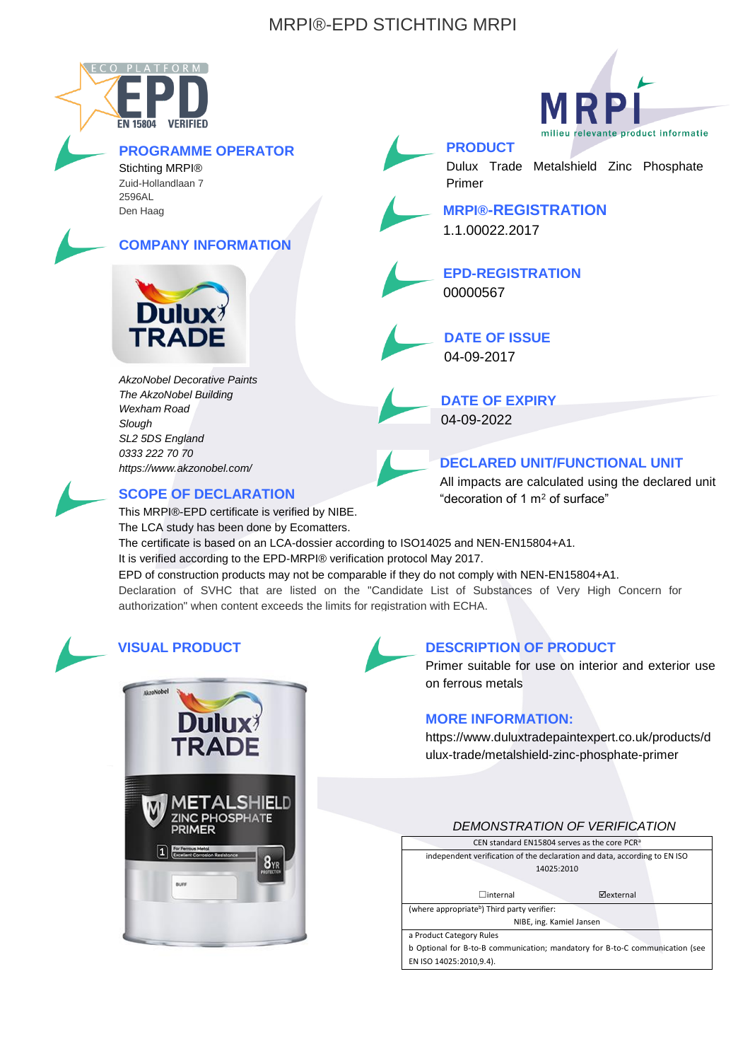# MRPI®-EPD STICHTING MRPI



# **PROGRAMME OPERATOR**

Stichting MRPI® Zuid-Hollandlaan 7 2596AL Den Haag

## **COMPANY INFORMATION**



*AkzoNobel Decorative Paints The AkzoNobel Building Wexham Road Slough SL2 5DS England 0333 222 70 70 https://www.akzonobel.com/*



## **SCOPE OF DECLARATION**

This MRPI®-EPD certificate is verified by NIBE.

The LCA study has been done by Ecomatters.

The certificate is based on an LCA-dossier according to ISO14025 and NEN-EN15804+A1.

It is verified according to the EPD-MRPI® verification protocol May 2017.

EPD of construction products may not be comparable if they do not comply with NEN-EN15804+A1. Declaration of SVHC that are listed on the "Candidate List of Substances of Very High Concern for authorization" when content exceeds the limits for registration with ECHA.



# **VISUAL PRODUCT**



### **DESCRIPTION OF PRODUCT**

Primer suitable for use on interior and exterior use on ferrous metals

### **MORE INFORMATION:**

https://www.duluxtradepaintexpert.co.uk/products/d ulux-trade/metalshield-zinc-phosphate-primer

### *DEMONSTRATION OF VERIFICATION*





**PRODUCT** Primer

Dulux Trade Metalshield Zinc Phosphate

**MRPI®-REGISTRATION** 1.1.00022.2017

**EPD-REGISTRATION** 00000567

**DATE OF ISSUE** 04-09-2017

**DATE OF EXPIRY** 04-09-2022

**DECLARED UNIT/FUNCTIONAL UNIT**

All impacts are calculated using the declared unit "decoration of 1 m<sup>2</sup> of surface"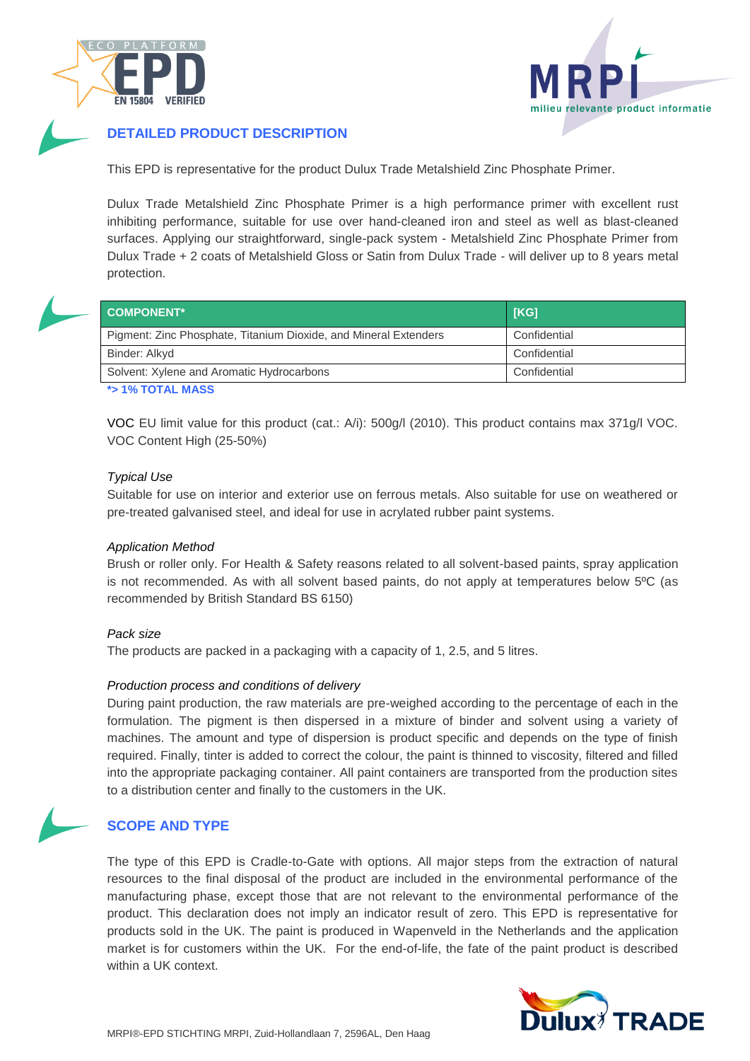



### **DETAILED PRODUCT DESCRIPTION**

This EPD is representative for the product Dulux Trade Metalshield Zinc Phosphate Primer.

Dulux Trade Metalshield Zinc Phosphate Primer is a high performance primer with excellent rust inhibiting performance, suitable for use over hand-cleaned iron and steel as well as blast-cleaned surfaces. Applying our straightforward, single-pack system - Metalshield Zinc Phosphate Primer from Dulux Trade + 2 coats of Metalshield Gloss or Satin from Dulux Trade - will deliver up to 8 years metal protection.

| <b>COMPONENT*</b>                                                | [KG]         |
|------------------------------------------------------------------|--------------|
| Pigment: Zinc Phosphate, Titanium Dioxide, and Mineral Extenders | Confidential |
| Binder: Alkyd                                                    | Confidential |
| Solvent: Xylene and Aromatic Hydrocarbons                        | Confidential |

**\*> 1% TOTAL MASS**

VOC EU limit value for this product (cat.: A/i): 500g/l (2010). This product contains max 371g/l VOC. VOC Content High (25-50%)

#### *Typical Use*

Suitable for use on interior and exterior use on ferrous metals. Also suitable for use on weathered or pre-treated galvanised steel, and ideal for use in acrylated rubber paint systems.

#### *Application Method*

Brush or roller only. For Health & Safety reasons related to all solvent-based paints, spray application is not recommended. As with all solvent based paints, do not apply at temperatures below 5ºC (as recommended by British Standard BS 6150)

#### *Pack size*

The products are packed in a packaging with a capacity of 1, 2.5, and 5 litres.

#### *Production process and conditions of delivery*

During paint production, the raw materials are pre-weighed according to the percentage of each in the formulation. The pigment is then dispersed in a mixture of binder and solvent using a variety of machines. The amount and type of dispersion is product specific and depends on the type of finish required. Finally, tinter is added to correct the colour, the paint is thinned to viscosity, filtered and filled into the appropriate packaging container. All paint containers are transported from the production sites to a distribution center and finally to the customers in the UK.



### **SCOPE AND TYPE**

The type of this EPD is Cradle-to-Gate with options. All major steps from the extraction of natural resources to the final disposal of the product are included in the environmental performance of the manufacturing phase, except those that are not relevant to the environmental performance of the product. This declaration does not imply an indicator result of zero. This EPD is representative for products sold in the UK. The paint is produced in Wapenveld in the Netherlands and the application market is for customers within the UK. For the end-of-life, the fate of the paint product is described within a UK context.

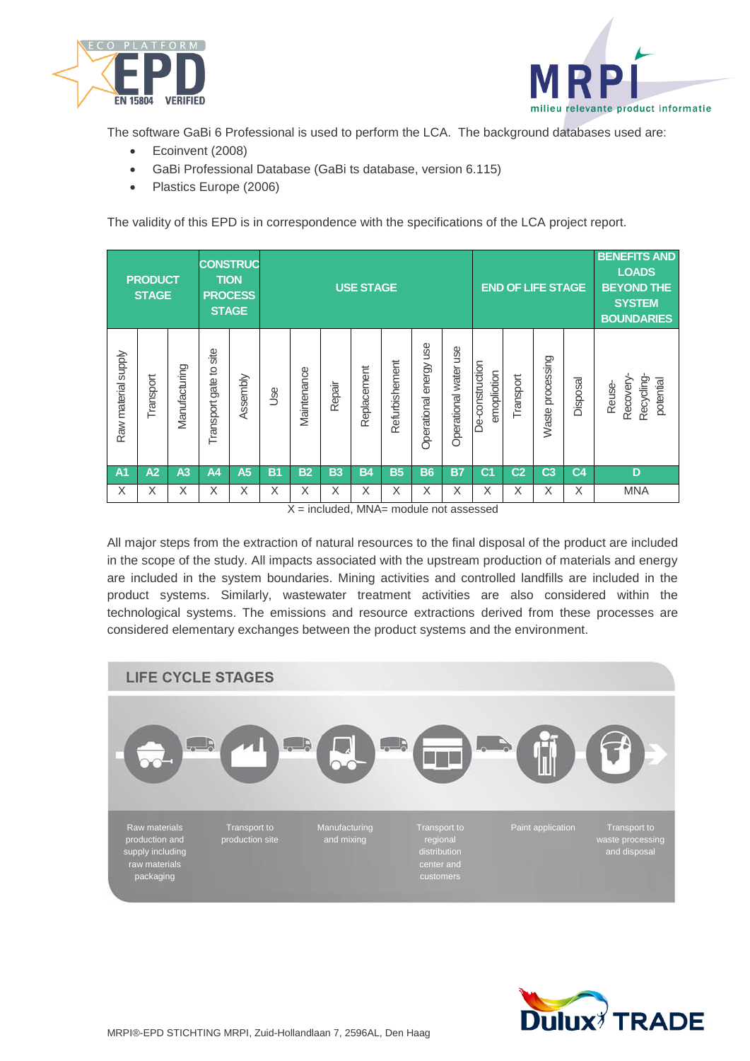



The software GaBi 6 Professional is used to perform the LCA. The background databases used are:

- Ecoinvent (2008)
- GaBi Professional Database (GaBi ts database, version 6.115)
- Plastics Europe (2006)

The validity of this EPD is in correspondence with the specifications of the LCA project report.

| <b>CONSTRUC</b><br><b>PRODUCT</b><br><b>TION</b><br><b>STAGE</b><br><b>PROCESS</b><br><b>STAGE</b> |           |                |                               |                | <b>USE STAGE</b><br><b>END OF LIFE STAGE</b> |                 |                                                                                                                              |             |                |                                                       |                       | <b>BENEFITS AND</b><br><b>LOADS</b><br><b>BEYOND THE</b><br><b>SYSTEM</b><br><b>BOUNDARIES</b> |                |                     |                |                                               |
|----------------------------------------------------------------------------------------------------|-----------|----------------|-------------------------------|----------------|----------------------------------------------|-----------------|------------------------------------------------------------------------------------------------------------------------------|-------------|----------------|-------------------------------------------------------|-----------------------|------------------------------------------------------------------------------------------------|----------------|---------------------|----------------|-----------------------------------------------|
| Raw material supply                                                                                | Transport | Manufacturing  | site<br>gate to:<br>Transport | Assembly       | <b>Jse</b>                                   | Maintenance     | Repair                                                                                                                       | Replacement | Refurbishement | energy use<br>Operational                             | Operational water use | De-construction<br>noiboliqome                                                                 | Transport      | processing<br>Waste | Disposal       | Recycling-<br>Recovery<br>potential<br>Reuse- |
| A <sub>1</sub>                                                                                     | A2        | A <sub>3</sub> | A4                            | A <sub>5</sub> | <b>B1</b>                                    | <b>B2</b>       | <b>B3</b>                                                                                                                    | <b>B4</b>   | <b>B5</b>      | <b>B6</b>                                             | <b>B7</b>             | C <sub>1</sub>                                                                                 | C <sub>2</sub> | C <sub>3</sub>      | C <sub>4</sub> | D                                             |
| X                                                                                                  | X         | X              | X                             | X              | X                                            | X<br>$\sqrt{ }$ | X<br>$\mathbf{L} = \mathbf{L} \cdot \mathbf{L} = \mathbf{L} \cdot \mathbf{L}$ and $\mathbf{L} = \mathbf{L} \cdot \mathbf{L}$ | X           | X              | X<br>the product of the problem of the product of the | X                     | X                                                                                              | X              | X                   | X              | <b>MNA</b>                                    |

 $X =$  included, MNA= module not assessed

All major steps from the extraction of natural resources to the final disposal of the product are included in the scope of the study. All impacts associated with the upstream production of materials and energy are included in the system boundaries. Mining activities and controlled landfills are included in the product systems. Similarly, wastewater treatment activities are also considered within the technological systems. The emissions and resource extractions derived from these processes are considered elementary exchanges between the product systems and the environment.



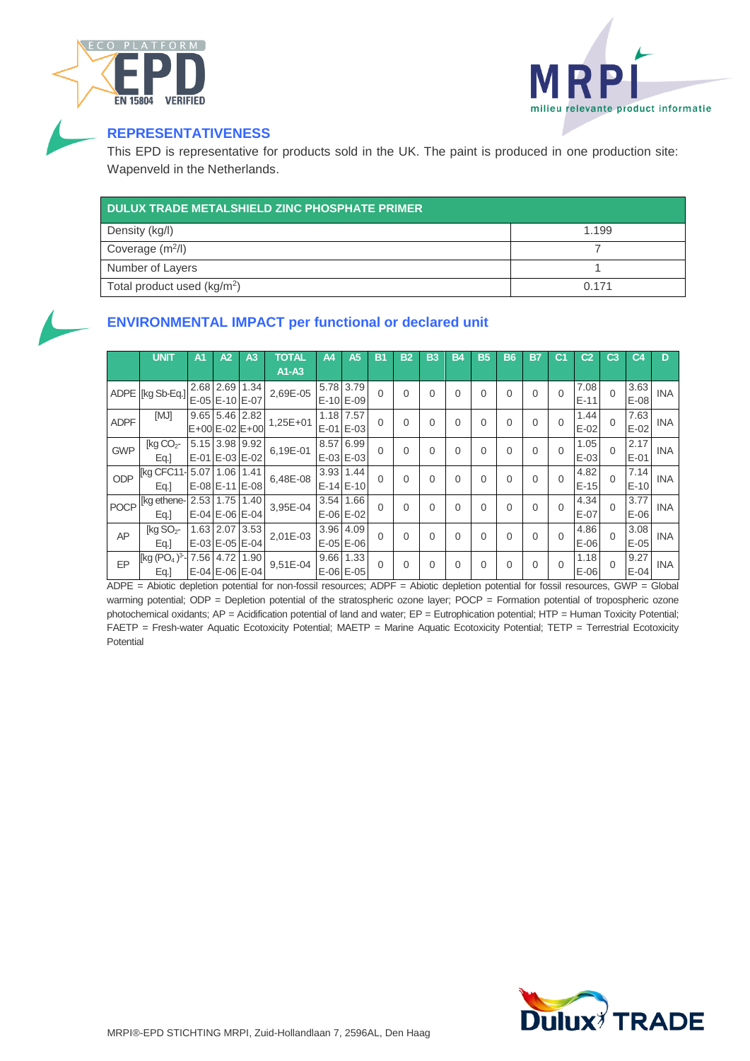



# **REPRESENTATIVENESS**

This EPD is representative for products sold in the UK. The paint is produced in one production site: Wapenveld in the Netherlands.

| <b>DULUX TRADE METALSHIELD ZINC PHOSPHATE PRIMER</b> |       |
|------------------------------------------------------|-------|
| Density (kg/l)                                       | 1.199 |
| Coverage $(m^2/l)$                                   |       |
| Number of Layers                                     |       |
| Total product used (kg/m <sup>2</sup> )              | 0.171 |



## **ENVIRONMENTAL IMPACT per functional or declared unit**

|             | <b>UNIT</b>                                                                  | A1 | A <sub>2</sub>       | A <sub>3</sub>       | <b>TOTAL</b> | A4        | A5            | B1       | B <sub>2</sub> | <b>B3</b> | B4       | B5 | <b>B6</b>   | B7       | C1       | C <sub>2</sub> | C3       | C4     | D          |
|-------------|------------------------------------------------------------------------------|----|----------------------|----------------------|--------------|-----------|---------------|----------|----------------|-----------|----------|----|-------------|----------|----------|----------------|----------|--------|------------|
|             |                                                                              |    |                      |                      | A1-A3        |           |               |          |                |           |          |    |             |          |          |                |          |        |            |
|             |                                                                              |    | 2.68 2.69 1.34       |                      | 2,69E-05     | 5.78 3.79 |               | $\Omega$ | 0              | $\Omega$  | $\Omega$ | 0  | $\Omega$    | $\Omega$ | $\Omega$ | 7.08           | $\Omega$ | 3.63   | <b>INA</b> |
|             | ADPE $\left \left[\text{kgSb-Eq.}\right]\right _{E-0.5} = -10 \text{ E}-0.7$ |    |                      |                      |              |           | E-10 E-09     |          |                |           |          |    |             |          |          | $E-11$         |          | $E-08$ |            |
| <b>ADPF</b> | [MJ]                                                                         |    | 9.65 5.46 2.82       |                      | $1,25E+01$   |           | 1.18 7.57     | $\Omega$ | 0              | 0         | $\Omega$ | 0  | $\mathbf 0$ | 0        | 0        | 1.44           | $\Omega$ | 7.63   | <b>INA</b> |
|             |                                                                              |    |                      | E+00 E-02 E+00       |              |           | E-01 E-03     |          |                |           |          |    |             |          |          | $E-02$         |          | $E-02$ |            |
| <b>GWP</b>  | [ $kg CO2$ -                                                                 |    | 5.15 3.98 9.92       |                      | 6.19E-01     | 8.57      | 6.99          | $\Omega$ | $\Omega$       | $\Omega$  | $\Omega$ | 0  | $\mathbf 0$ | $\Omega$ | $\Omega$ | 1.05           | $\Omega$ | 2.17   | <b>INA</b> |
|             | Eq.                                                                          |    | E-01 E-03 E-02       |                      |              |           | E-03 E-03     |          |                |           |          |    |             |          |          | $E-03$         |          | $E-01$ |            |
| ODP         | [kg CFC11-                                                                   |    | 5.07 1.06 1.41       |                      | 6,48E-08     |           | 3.93 1.44     | $\Omega$ | 0              | $\Omega$  | $\Omega$ | 0  | $\Omega$    | $\Omega$ | $\Omega$ | 4.82           | $\Omega$ | 7.14   | <b>INA</b> |
|             | Eq.]                                                                         |    | E-08 E-11 E-08       |                      |              |           | $E-14E-10$    |          |                |           |          |    |             |          |          | $E-15$         |          | $E-10$ |            |
| <b>POCP</b> | [kg ethene-                                                                  |    | 2.53 1.75            | 1.40                 | 3,95E-04     | 3.54      | 1.66          | $\Omega$ | 0              | $\Omega$  | $\Omega$ | 0  | $\mathbf 0$ | $\Omega$ | $\Omega$ | 4.34           | $\Omega$ | 3.77   | <b>INA</b> |
|             | Eq.]                                                                         |    | $E-04$ $E-06$ $E-04$ |                      |              |           | $E-06$ $E-02$ |          |                |           |          |    |             |          |          | $E-07$         |          | $E-06$ |            |
| AP          | [ $kg SO2$ -                                                                 |    | 1.63 2.07 3.53       |                      | 2,01E-03     |           | 3.96 4.09     | $\Omega$ | 0              | $\Omega$  | $\Omega$ | 0  | $\mathbf 0$ | $\Omega$ | $\Omega$ | 4.86           | $\Omega$ | 3.08   | <b>INA</b> |
|             | Eq.]                                                                         |    |                      | $E-03$ $E-05$ $E-04$ |              |           | $E-05$ $E-06$ |          |                |           |          |    |             |          |          | $E-06$         |          | $E-05$ |            |
| EP          | [kg $(PO4)3$ -                                                               |    | 7.56 4.72 1.90       |                      | 9,51E-04     |           | 9.66 1.33     | $\Omega$ | 0              | $\Omega$  | $\Omega$ | 0  | $\Omega$    | $\Omega$ | $\Omega$ | 1.18           | $\Omega$ | 9.27   | <b>INA</b> |
|             | Eq.]                                                                         |    |                      | E-04 E-06 E-04       |              |           | E-06 E-05     |          |                |           |          |    |             |          |          | $E-06$         |          | $E-04$ |            |

ADPE = Abiotic depletion potential for non-fossil resources; ADPF = Abiotic depletion potential for fossil resources, GWP = Global warming potential; ODP = Depletion potential of the stratospheric ozone layer; POCP = Formation potential of tropospheric ozone photochemical oxidants; AP = Acidification potential of land and water; EP = Eutrophication potential; HTP = Human Toxicity Potential; FAETP = Fresh-water Aquatic Ecotoxicity Potential; MAETP = Marine Aquatic Ecotoxicity Potential; TETP = Terrestrial Ecotoxicity Potential

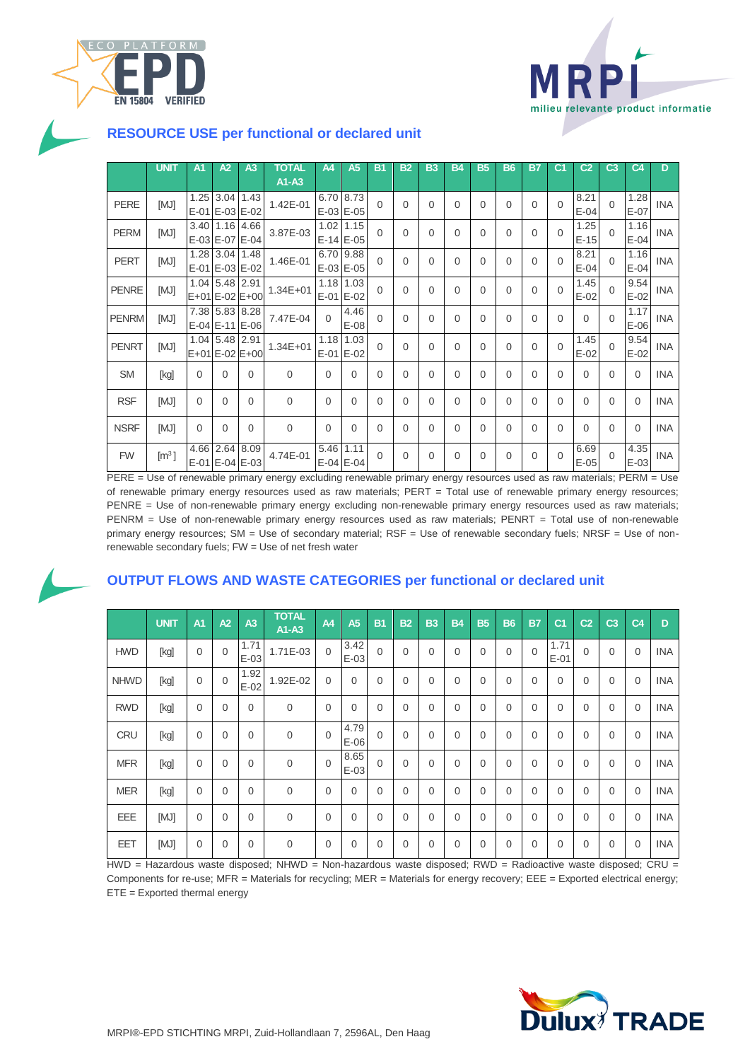



### **RESOURCE USE per functional or declared unit**

|              | <b>UNIT</b>               | A <sub>1</sub> | A2             | A <sub>3</sub>                   | TOTAL<br>A1-A3 | A4             | A <sub>5</sub>         | B1       | <b>B2</b> | <b>B3</b>      | <b>B4</b> | <b>B5</b> | <b>B6</b> | B7       | C1       | C <sub>2</sub> | C <sub>3</sub> | C4             | D          |
|--------------|---------------------------|----------------|----------------|----------------------------------|----------------|----------------|------------------------|----------|-----------|----------------|-----------|-----------|-----------|----------|----------|----------------|----------------|----------------|------------|
| <b>PERE</b>  | [MJ]                      | 1.25           | E-01 E-03 E-02 | $3.04$ 1.43                      | 1.42E-01       |                | 6.70 8.73<br>E-03 E-05 | $\Omega$ | 0         | $\overline{0}$ | $\Omega$  | $\Omega$  | $\Omega$  | 0        | $\Omega$ | 8.21<br>$E-04$ | $\Omega$       | 1.28<br>$E-07$ | <b>INA</b> |
| <b>PERM</b>  | [MJ]                      |                | 3.40 1.16 4.66 | E-03 E-07 E-04                   | 3.87E-03       | 1.02           | 1.15<br>E-14 E-05      | $\Omega$ | 0         | 0              | $\Omega$  | $\Omega$  | $\Omega$  | 0        | $\Omega$ | 1.25<br>$E-15$ | $\Omega$       | 1.16<br>$E-04$ | <b>INA</b> |
| <b>PERT</b>  | [MJ]                      |                | 1.28 3.04 1.48 | E-01 E-03 E-02                   | 1.46E-01       |                | 6.70 9.88<br>E-03 E-05 | $\Omega$ | 0         | 0              | $\Omega$  | $\Omega$  | $\Omega$  | 0        | $\Omega$ | 8.21<br>$E-04$ | $\Omega$       | 1.16<br>$E-04$ | <b>INA</b> |
| <b>PENRE</b> | [MJ]                      |                | 1.04 5.48 2.91 | E+01 E-02 E+00                   | $1.34E + 01$   |                | 1.18 1.03<br>E-01 E-02 | $\Omega$ | 0         | $\Omega$       | $\Omega$  | $\Omega$  | $\Omega$  | $\Omega$ | $\Omega$ | 1.45<br>$E-02$ | $\Omega$       | 9.54<br>$E-02$ | <b>INA</b> |
| <b>PENRM</b> | [MJ]                      |                |                | 7.38 5.83 8.28<br>E-04 E-11 E-06 | 7.47E-04       | $\Omega$       | 4.46<br>$E-08$         | $\Omega$ | 0         | $\Omega$       | $\Omega$  | $\Omega$  | $\Omega$  | 0        | $\Omega$ | $\Omega$       | $\Omega$       | 1.17<br>$E-06$ | <b>INA</b> |
| <b>PENRT</b> | [MJ]                      |                | 1.04 5.48 2.91 | E+01 E-02 E+00                   | $1.34E + 01$   | 1.18<br>$E-01$ | 1.03<br>$E-02$         | $\Omega$ | 0         | $\Omega$       | $\Omega$  | $\Omega$  | $\Omega$  | 0        | $\Omega$ | 1.45<br>$E-02$ | $\Omega$       | 9.54<br>$E-02$ | <b>INA</b> |
| <b>SM</b>    | [kg]                      | $\Omega$       | $\Omega$       | $\Omega$                         | $\mathbf{0}$   | $\Omega$       | $\Omega$               | $\Omega$ | 0         | 0              | $\Omega$  | $\Omega$  | $\Omega$  | 0        | $\Omega$ | $\Omega$       | 0              | $\Omega$       | <b>INA</b> |
| <b>RSF</b>   | [MJ]                      | 0              | $\Omega$       | $\Omega$                         | $\mathbf{0}$   | $\Omega$       | 0                      | $\Omega$ | 0         | 0              | $\Omega$  | $\Omega$  | $\Omega$  | 0        | $\Omega$ | 0              | 0              | $\Omega$       | <b>INA</b> |
| <b>NSRF</b>  | [MJ]                      | $\Omega$       | $\Omega$       | $\Omega$                         | $\Omega$       | $\Omega$       | $\Omega$               | $\Omega$ | 0         | $\Omega$       | $\Omega$  | $\Omega$  | $\Omega$  | $\Omega$ | $\Omega$ | $\Omega$       | $\Omega$       | $\Omega$       | <b>INA</b> |
| <b>FW</b>    | $\left[\text{m}^3\right]$ |                |                | 4.66 2.64 8.09<br>E-01 E-04 E-03 | 4.74E-01       |                | 5.46 1.11<br>E-04 E-04 | $\Omega$ | 0         | $\Omega$       | 0         | $\Omega$  | $\Omega$  | 0        | $\Omega$ | 6.69<br>$E-05$ | $\Omega$       | 4.35<br>$E-03$ | <b>INA</b> |

PERE = Use of renewable primary energy excluding renewable primary energy resources used as raw materials; PERM = Use of renewable primary energy resources used as raw materials; PERT = Total use of renewable primary energy resources; PENRE = Use of non-renewable primary energy excluding non-renewable primary energy resources used as raw materials; PENRM = Use of non-renewable primary energy resources used as raw materials; PENRT = Total use of non-renewable primary energy resources; SM = Use of secondary material; RSF = Use of renewable secondary fuels; NRSF = Use of nonrenewable secondary fuels; FW = Use of net fresh water

### **OUTPUT FLOWS AND WASTE CATEGORIES per functional or declared unit**

|             | UNIT | A <sub>1</sub> | A2       | A <sub>3</sub> | <b>TOTAL</b><br>$A1-A3$ | A4       | <b>A5</b>      | <b>B1</b> | <b>B2</b>   | B <sub>3</sub> | <b>B4</b>   | <b>B5</b> | <b>B6</b>   | B <sub>7</sub> | C1             | C <sub>2</sub> | C <sub>3</sub> | C4       | D          |
|-------------|------|----------------|----------|----------------|-------------------------|----------|----------------|-----------|-------------|----------------|-------------|-----------|-------------|----------------|----------------|----------------|----------------|----------|------------|
| <b>HWD</b>  | [kg] | 0              | 0        | 1.71<br>$E-03$ | 1.71E-03                | $\Omega$ | 3.42<br>$E-03$ | $\Omega$  | 0           | $\mathbf 0$    | $\mathbf 0$ | 0         | $\mathbf 0$ | $\Omega$       | 1.71<br>$E-01$ | $\Omega$       | 0              | $\Omega$ | <b>INA</b> |
| <b>NHWD</b> | [kg] | 0              | $\Omega$ | 1.92<br>$E-02$ | 1.92E-02                | $\Omega$ | $\overline{0}$ | $\Omega$  | $\mathbf 0$ | $\Omega$       | $\Omega$    | 0         | $\mathbf 0$ | $\Omega$       | $\Omega$       | $\overline{0}$ | 0              | $\Omega$ | <b>INA</b> |
| <b>RWD</b>  | [kg] | 0              | $\Omega$ | $\Omega$       | $\mathbf{0}$            | 0        | $\Omega$       | $\Omega$  | $\Omega$    | $\Omega$       | $\Omega$    | 0         | $\Omega$    | $\Omega$       | $\Omega$       | $\Omega$       | $\Omega$       | $\Omega$ | <b>INA</b> |
| <b>CRU</b>  | [kg] | $\overline{0}$ | $\Omega$ | $\Omega$       | $\overline{0}$          | $\Omega$ | 4.79<br>$E-06$ | $\Omega$  | $\Omega$    | $\Omega$       | $\Omega$    | 0         | $\Omega$    | $\Omega$       | $\Omega$       | $\Omega$       | $\Omega$       | $\Omega$ | <b>INA</b> |
| <b>MFR</b>  | [kg] | 0              | $\Omega$ | $\Omega$       | $\mathbf 0$             | $\Omega$ | 8.65<br>$E-03$ | $\Omega$  | 0           | $\mathbf 0$    | $\Omega$    | 0         | $\mathbf 0$ | $\Omega$       | $\Omega$       | $\Omega$       | 0              | $\Omega$ | <b>INA</b> |
| <b>MER</b>  | [kg] | 0              | $\Omega$ | $\Omega$       | $\mathbf 0$             | 0        | $\Omega$       | $\Omega$  | 0           | 0              | $\Omega$    | 0         | $\mathbf 0$ | $\overline{0}$ | $\Omega$       | $\Omega$       | $\Omega$       | $\Omega$ | <b>INA</b> |
| EEE         | [MJ] | 0              | $\Omega$ | $\Omega$       | $\mathbf 0$             | $\Omega$ | $\Omega$       | $\Omega$  | 0           | $\Omega$       | $\Omega$    | 0         | $\mathbf 0$ | $\Omega$       | $\Omega$       | $\Omega$       | $\Omega$       | $\Omega$ | <b>INA</b> |
| EET         | [MJ] | 0              | 0        | $\Omega$       | $\mathbf 0$             | 0        | $\mathbf{0}$   | 0         | 0           | 0              | 0           | 0         | $\mathbf 0$ | $\overline{0}$ | 0              | 0              | 0              | $\Omega$ | <b>INA</b> |

HWD = Hazardous waste disposed; NHWD = Non-hazardous waste disposed; RWD = Radioactive waste disposed; CRU = Components for re-use; MFR = Materials for recycling; MER = Materials for energy recovery; EEE = Exported electrical energy; ETE = Exported thermal energy

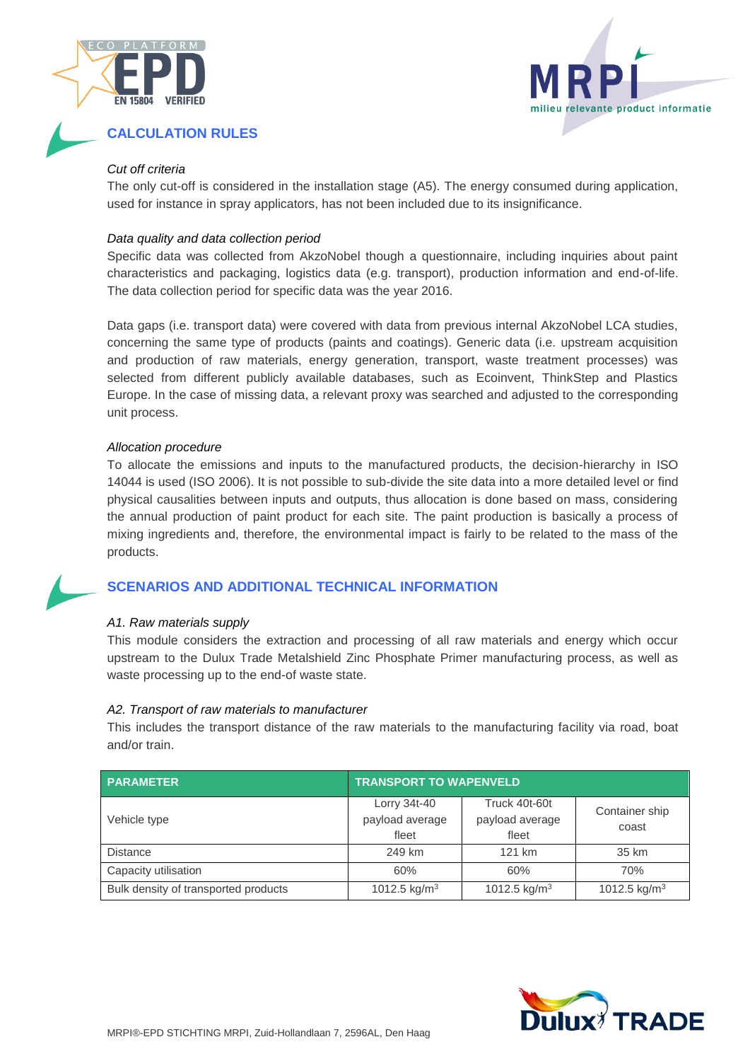



### **CALCULATION RULES**

#### *Cut off criteria*

The only cut-off is considered in the installation stage (A5). The energy consumed during application, used for instance in spray applicators, has not been included due to its insignificance.

#### *Data quality and data collection period*

Specific data was collected from AkzoNobel though a questionnaire, including inquiries about paint characteristics and packaging, logistics data (e.g. transport), production information and end-of-life. The data collection period for specific data was the year 2016.

Data gaps (i.e. transport data) were covered with data from previous internal AkzoNobel LCA studies, concerning the same type of products (paints and coatings). Generic data (i.e. upstream acquisition and production of raw materials, energy generation, transport, waste treatment processes) was selected from different publicly available databases, such as Ecoinvent, ThinkStep and Plastics Europe. In the case of missing data, a relevant proxy was searched and adjusted to the corresponding unit process.

#### *Allocation procedure*

To allocate the emissions and inputs to the manufactured products, the decision-hierarchy in ISO 14044 is used (ISO 2006). It is not possible to sub-divide the site data into a more detailed level or find physical causalities between inputs and outputs, thus allocation is done based on mass, considering the annual production of paint product for each site. The paint production is basically a process of mixing ingredients and, therefore, the environmental impact is fairly to be related to the mass of the products.

### **SCENARIOS AND ADDITIONAL TECHNICAL INFORMATION**

#### *A1. Raw materials supply*

This module considers the extraction and processing of all raw materials and energy which occur upstream to the Dulux Trade Metalshield Zinc Phosphate Primer manufacturing process, as well as waste processing up to the end-of waste state.

#### *A2. Transport of raw materials to manufacturer*

This includes the transport distance of the raw materials to the manufacturing facility via road, boat and/or train.

| <b>PARAMETER</b>                     | <b>TRANSPORT TO WAPENVELD</b>            |                                           |                          |  |  |  |  |  |
|--------------------------------------|------------------------------------------|-------------------------------------------|--------------------------|--|--|--|--|--|
| Vehicle type                         | Lorry 34t-40<br>payload average<br>fleet | Truck 40t-60t<br>payload average<br>fleet | Container ship<br>coast  |  |  |  |  |  |
| <b>Distance</b>                      | 249 km                                   | 121 km                                    | 35 km                    |  |  |  |  |  |
| Capacity utilisation                 | 60%                                      | 60%                                       | 70%                      |  |  |  |  |  |
| Bulk density of transported products | 1012.5 kg/ $m3$                          | 1012.5 kg/m <sup>3</sup>                  | 1012.5 kg/m <sup>3</sup> |  |  |  |  |  |

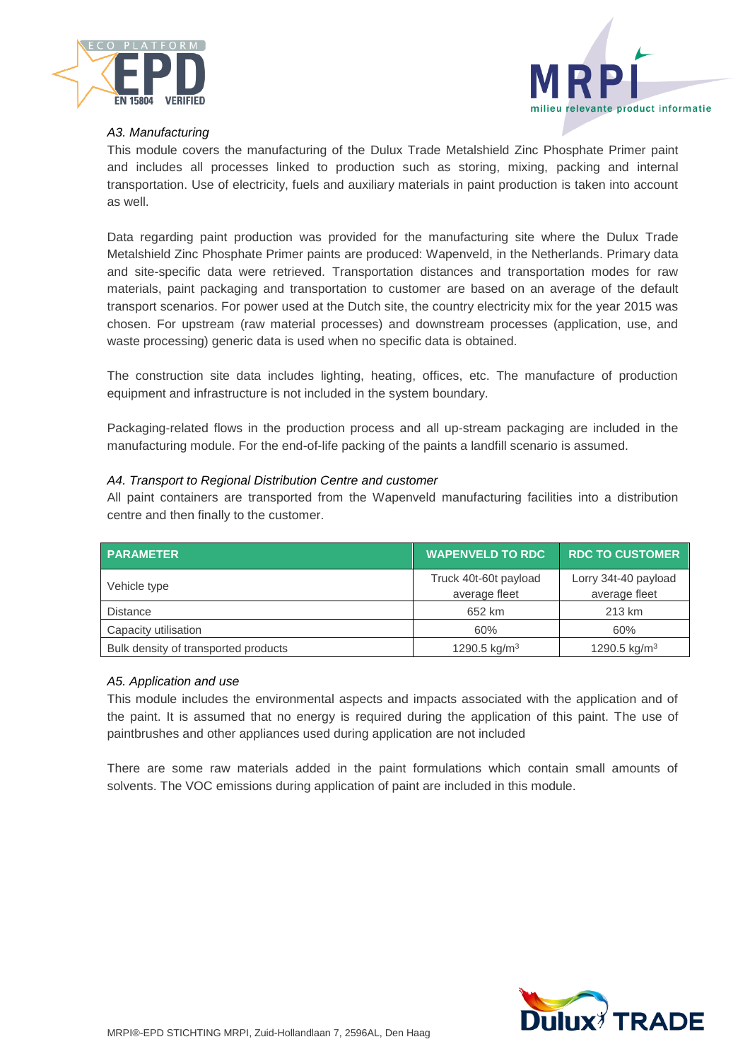



#### *A3. Manufacturing*

This module covers the manufacturing of the Dulux Trade Metalshield Zinc Phosphate Primer paint and includes all processes linked to production such as storing, mixing, packing and internal transportation. Use of electricity, fuels and auxiliary materials in paint production is taken into account as well.

Data regarding paint production was provided for the manufacturing site where the Dulux Trade Metalshield Zinc Phosphate Primer paints are produced: Wapenveld, in the Netherlands. Primary data and site-specific data were retrieved. Transportation distances and transportation modes for raw materials, paint packaging and transportation to customer are based on an average of the default transport scenarios. For power used at the Dutch site, the country electricity mix for the year 2015 was chosen. For upstream (raw material processes) and downstream processes (application, use, and waste processing) generic data is used when no specific data is obtained.

The construction site data includes lighting, heating, offices, etc. The manufacture of production equipment and infrastructure is not included in the system boundary.

Packaging-related flows in the production process and all up-stream packaging are included in the manufacturing module. For the end-of-life packing of the paints a landfill scenario is assumed.

#### *A4. Transport to Regional Distribution Centre and customer*

All paint containers are transported from the Wapenveld manufacturing facilities into a distribution centre and then finally to the customer.

| <b>PARAMETER</b>                     | <b>WAPENVELD TO RDC</b>                | <b>RDC TO CUSTOMER</b>                |
|--------------------------------------|----------------------------------------|---------------------------------------|
| Vehicle type                         | Truck 40t-60t payload<br>average fleet | Lorry 34t-40 payload<br>average fleet |
| <b>Distance</b>                      | 652 km                                 | 213 km                                |
| Capacity utilisation                 | 60%                                    | 60%                                   |
| Bulk density of transported products | 1290.5 kg/m <sup>3</sup>               | 1290.5 kg/m <sup>3</sup>              |

#### *A5. Application and use*

This module includes the environmental aspects and impacts associated with the application and of the paint. It is assumed that no energy is required during the application of this paint. The use of paintbrushes and other appliances used during application are not included

There are some raw materials added in the paint formulations which contain small amounts of solvents. The VOC emissions during application of paint are included in this module.

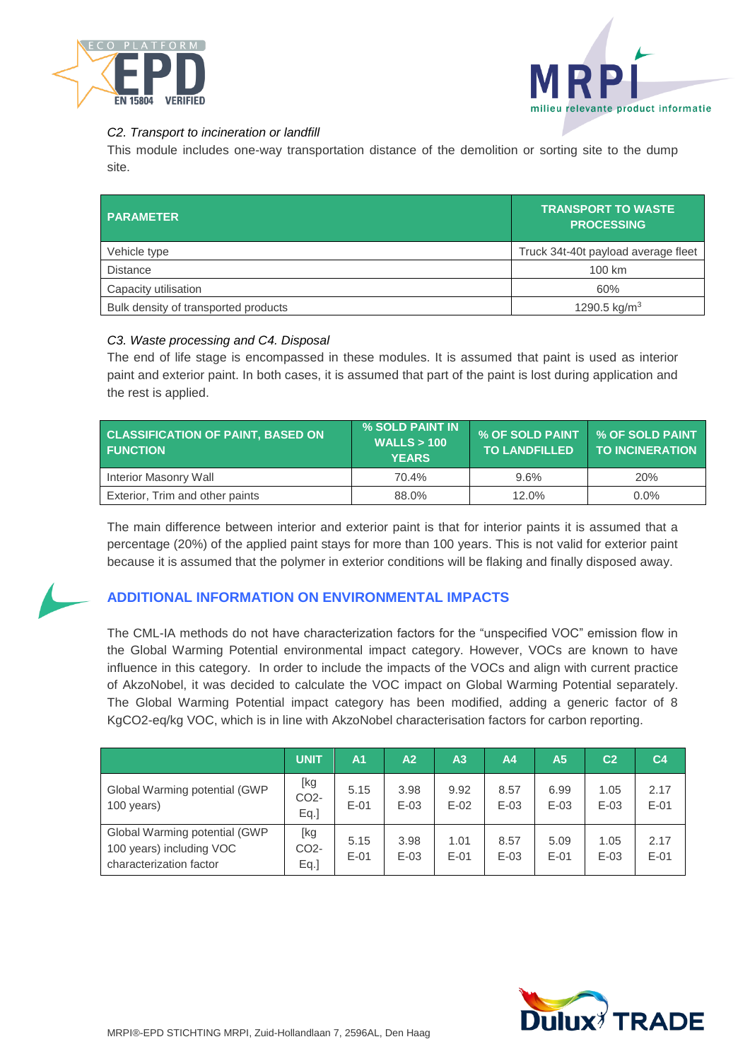



#### *C2. Transport to incineration or landfill*

This module includes one-way transportation distance of the demolition or sorting site to the dump site.

| <b>PARAMETER</b>                     | <b>TRANSPORT TO WASTE</b><br><b>PROCESSING</b> |
|--------------------------------------|------------------------------------------------|
| Vehicle type                         | Truck 34t-40t payload average fleet            |
| <b>Distance</b>                      | 100 km                                         |
| Capacity utilisation                 | 60%                                            |
| Bulk density of transported products | 1290.5 kg/m <sup>3</sup>                       |

#### *C3. Waste processing and C4. Disposal*

The end of life stage is encompassed in these modules. It is assumed that paint is used as interior paint and exterior paint. In both cases, it is assumed that part of the paint is lost during application and the rest is applied.

| <b>CLASSIFICATION OF PAINT, BASED ON</b><br><b>FUNCTION</b> | % SOLD PAINT IN<br>WALLS > 100<br><b>YEARS</b> | % OF SOLD PAINT   % OF SOLD PAINT<br><b>TO LANDFILLED</b> | <b>TO INCINERATION</b> |
|-------------------------------------------------------------|------------------------------------------------|-----------------------------------------------------------|------------------------|
| Interior Masonry Wall                                       | 70.4%                                          | 9.6%                                                      | 20%                    |
| Exterior, Trim and other paints                             | 88.0%                                          | 12.0%                                                     | $0.0\%$                |

The main difference between interior and exterior paint is that for interior paints it is assumed that a percentage (20%) of the applied paint stays for more than 100 years. This is not valid for exterior paint because it is assumed that the polymer in exterior conditions will be flaking and finally disposed away.



### **ADDITIONAL INFORMATION ON ENVIRONMENTAL IMPACTS**

The CML-IA methods do not have characterization factors for the "unspecified VOC" emission flow in the Global Warming Potential environmental impact category. However, VOCs are known to have influence in this category. In order to include the impacts of the VOCs and align with current practice of AkzoNobel, it was decided to calculate the VOC impact on Global Warming Potential separately. The Global Warming Potential impact category has been modified, adding a generic factor of 8 KgCO2-eq/kg VOC, which is in line with AkzoNobel characterisation factors for carbon reporting.

|                                                                                      | <b>UNIT</b>                         | A <sub>1</sub> | A2             | A <sub>3</sub> | A <sub>4</sub> | A <sub>5</sub> | C <sub>2</sub> | C <sub>4</sub> |
|--------------------------------------------------------------------------------------|-------------------------------------|----------------|----------------|----------------|----------------|----------------|----------------|----------------|
| Global Warming potential (GWP<br>100 years)                                          | [kg<br>CO <sub>2</sub> -<br>$Eq.$ ] | 5.15<br>$E-01$ | 3.98<br>$E-03$ | 9.92<br>$E-02$ | 8.57<br>$E-03$ | 6.99<br>$E-03$ | 1.05<br>$E-03$ | 2.17<br>$E-01$ |
| Global Warming potential (GWP<br>100 years) including VOC<br>characterization factor | [kg<br>CO <sub>2</sub> -<br>$Eq.$ ] | 5.15<br>$E-01$ | 3.98<br>$E-03$ | 1.01<br>$E-01$ | 8.57<br>$E-03$ | 5.09<br>$E-01$ | 1.05<br>$E-03$ | 2.17<br>$E-01$ |